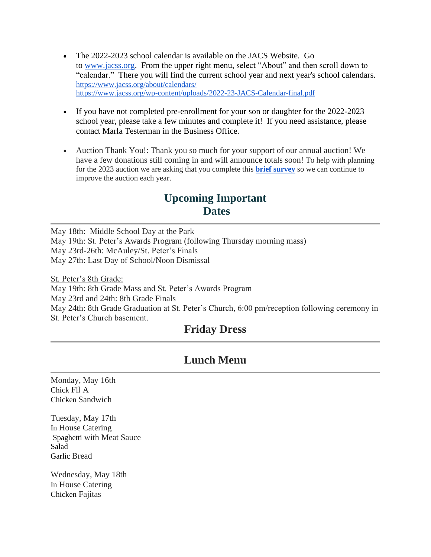- The 2022-2023 school calendar is available on the JACS Website. Go to [www.jacss.org.](http://www.jacss.org/) From the upper right menu, select "About" and then scroll down to "calendar." There you will find the current school year and next year's school calendars. <https://www.jacss.org/about/calendars/> <https://www.jacss.org/wp-content/uploads/2022-23-JACS-Calendar-final.pdf>
- If you have not completed pre-enrollment for your son or daughter for the 2022-2023 school year, please take a few minutes and complete it! If you need assistance, please contact Marla Testerman in the Business Office.
- Auction Thank You!: Thank you so much for your support of our annual auction! We have a few donations still coming in and will announce totals soon! To help with planning for the 2023 auction we are asking that you complete this **[brief](https://forms.gle/inXuratM5qj3SFHe7) [survey](https://forms.gle/inXuratM5qj3SFHe7)** so we can continue to improve the auction each year.

## **Upcoming Important Dates**

May 18th: Middle School Day at the Park May 19th: St. Peter's Awards Program (following Thursday morning mass) May 23rd-26th: McAuley/St. Peter's Finals May 27th: Last Day of School/Noon Dismissal

St. Peter's 8th Grade: May 19th: 8th Grade Mass and St. Peter's Awards Program May 23rd and 24th: 8th Grade Finals May 24th: 8th Grade Graduation at St. Peter's Church, 6:00 pm/reception following ceremony in St. Peter's Church basement.

## **Friday Dress**

## **Lunch Menu**

Monday, May 16th Chick Fil A Chicken Sandwich

Tuesday, May 17th In House Catering Spaghetti with Meat Sauce Salad Garlic Bread

Wednesday, May 18th In House Catering Chicken Fajitas